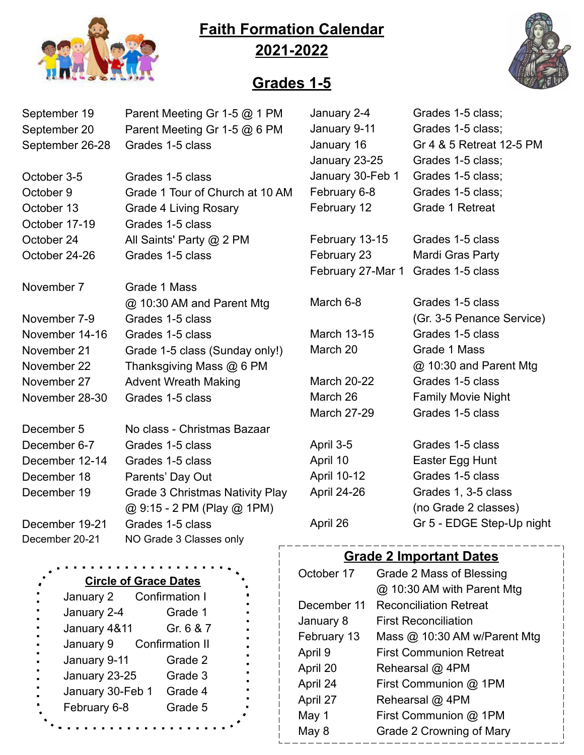## **Faith Formation Calendar 2021-2022**



## **Grades 1-5**

| September 19<br>September 20<br>September 26-28 | Parent Meeting Gr 1-5 @ 1 PM<br>Parent Meeting Gr 1-5 @ 6 PM<br>Grades 1-5 class | January 2-4<br>January 9-11<br>January 16<br>January 23-25 | Grades 1-5 class;<br>Grades 1-5 class;<br>Gr 4 & 5 Retreat 12-5 PM<br>Grades 1-5 class; |
|-------------------------------------------------|----------------------------------------------------------------------------------|------------------------------------------------------------|-----------------------------------------------------------------------------------------|
| October 3-5                                     | Grades 1-5 class                                                                 | January 30-Feb 1                                           | Grades 1-5 class;                                                                       |
| October 9                                       | Grade 1 Tour of Church at 10 AM                                                  | February 6-8                                               | Grades 1-5 class;                                                                       |
| October 13                                      | <b>Grade 4 Living Rosary</b>                                                     | February 12                                                | Grade 1 Retreat                                                                         |
| October 17-19                                   | Grades 1-5 class                                                                 |                                                            |                                                                                         |
| October 24                                      | All Saints' Party @ 2 PM                                                         | February 13-15                                             | Grades 1-5 class                                                                        |
| October 24-26                                   | Grades 1-5 class                                                                 | February 23                                                | Mardi Gras Party                                                                        |
|                                                 |                                                                                  | February 27-Mar 1                                          | Grades 1-5 class                                                                        |
| November 7                                      | Grade 1 Mass                                                                     |                                                            |                                                                                         |
|                                                 | @ 10:30 AM and Parent Mtg                                                        | March 6-8                                                  | Grades 1-5 class                                                                        |
| November 7-9                                    | Grades 1-5 class                                                                 |                                                            | (Gr. 3-5 Penance Service)                                                               |
| November 14-16                                  | Grades 1-5 class                                                                 | <b>March 13-15</b>                                         | Grades 1-5 class                                                                        |
| November 21                                     | Grade 1-5 class (Sunday only!)                                                   | March 20                                                   | Grade 1 Mass                                                                            |
| November 22                                     | Thanksgiving Mass @ 6 PM                                                         |                                                            | @ 10:30 and Parent Mtg                                                                  |
| November 27                                     | <b>Advent Wreath Making</b>                                                      | <b>March 20-22</b>                                         | Grades 1-5 class                                                                        |
| November 28-30                                  | Grades 1-5 class                                                                 | March 26                                                   | <b>Family Movie Night</b>                                                               |
|                                                 |                                                                                  | <b>March 27-29</b>                                         | Grades 1-5 class                                                                        |
| December 5                                      | No class - Christmas Bazaar                                                      |                                                            |                                                                                         |
| December 6-7                                    | Grades 1-5 class                                                                 | April 3-5                                                  | Grades 1-5 class                                                                        |
| December 12-14                                  | Grades 1-5 class                                                                 | April 10                                                   | Easter Egg Hunt                                                                         |
| December 18                                     | Parents' Day Out                                                                 | April 10-12                                                | Grades 1-5 class                                                                        |
| December 19                                     | <b>Grade 3 Christmas Nativity Play</b>                                           | April 24-26                                                | Grades 1, 3-5 class                                                                     |
|                                                 | @ 9:15 - 2 PM (Play @ 1PM)                                                       |                                                            | (no Grade 2 classes)                                                                    |
| December 19-21                                  | Grades 1-5 class                                                                 | April 26                                                   | Gr 5 - EDGE Step-Up night                                                               |
| December 20-21                                  | NO Grade 3 Classes only                                                          |                                                            |                                                                                         |
|                                                 |                                                                                  | <b>Grade 2 Important Dates</b>                             |                                                                                         |
|                                                 |                                                                                  | October 17                                                 | Grade 2 Mass of Blessing                                                                |

#### **Circle of Grace Dates**

| ٠<br>January 2<br>$\blacksquare$        | <b>Confirmation I</b>  |
|-----------------------------------------|------------------------|
| ٠<br>January 2-4<br>$\blacksquare$      | Grade 1                |
| January 4&11<br>٠<br>$\blacksquare$     | Gr. 6 & 7              |
| January 9<br>ä,                         | <b>Confirmation II</b> |
| ٠<br>January 9-11<br>$\blacksquare$     | Grade 2                |
| ٠<br>January 23-25<br>×.                | Grade 3                |
| ۰<br>January 30-Feb 1<br>$\blacksquare$ | Grade 4                |
| ø<br>February 6-8                       | Grade 5                |
|                                         |                        |
|                                         |                        |

| October 17  | Grade 2 Mass of Blessing       |
|-------------|--------------------------------|
|             | @ 10:30 AM with Parent Mtg     |
| December 11 | <b>Reconciliation Retreat</b>  |
| January 8   | <b>First Reconciliation</b>    |
| February 13 | Mass $@$ 10:30 AM w/Parent Mtg |
| April 9     | <b>First Communion Retreat</b> |
| April 20    | Rehearsal @ 4PM                |
| April 24    | First Communion @ 1PM          |
| April 27    | Rehearsal @ 4PM                |
| May 1       | First Communion @ 1PM          |
| May 8       | Grade 2 Crowning of Mary       |
|             |                                |